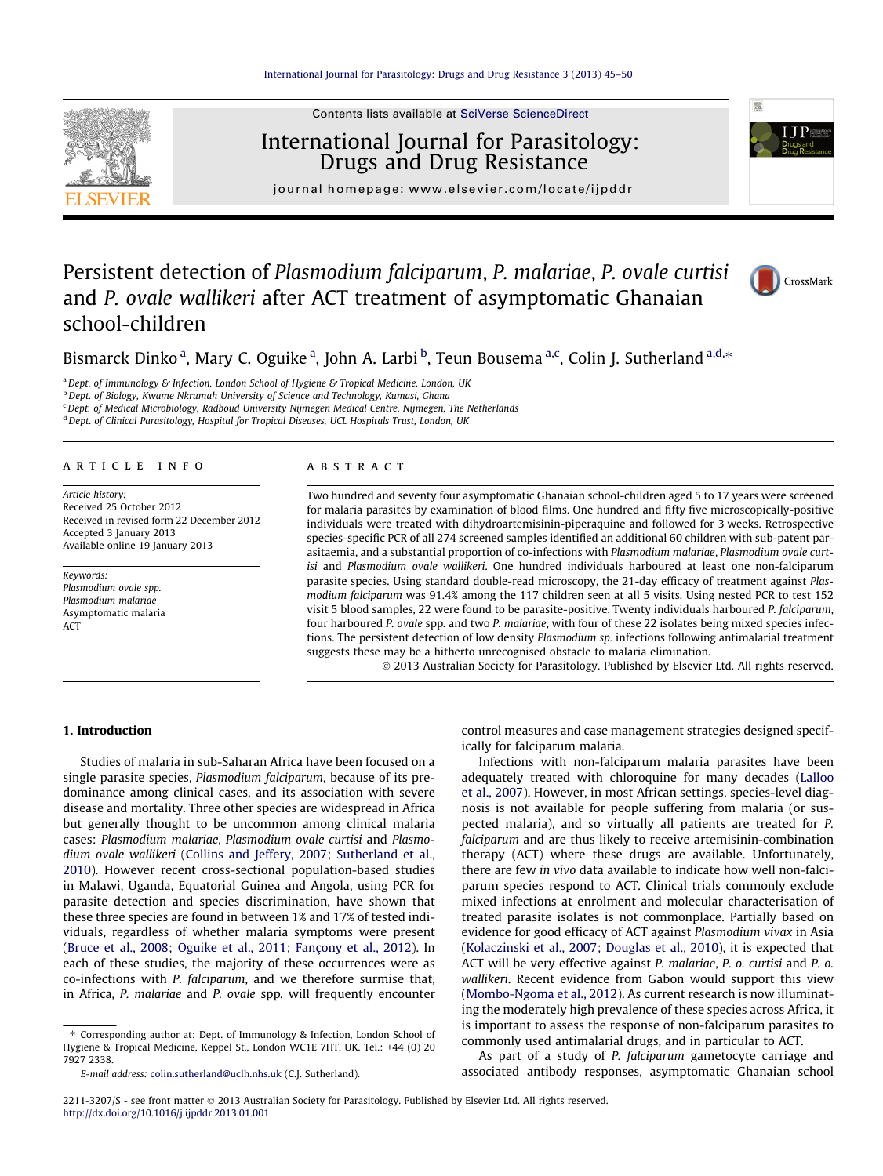

Contents lists available at [SciVerse ScienceDirect](http://www.sciencedirect.com/science/journal/22113207)

## International Journal for Parasitology: Drugs and Drug Resistance

journal homepage: [www.elsevier.com/locate/ijpddr](http://www.elsevier.com/locate/ijpddr)

# Persistent detection of Plasmodium falciparum, P. malariae, P. ovale curtisi and P. ovale wallikeri after ACT treatment of asymptomatic Ghanaian school-children



CrossMark

## Bismarck Dinko<sup>a</sup>, Mary C. Oguike<sup>a</sup>, John A. Larbi<sup>b</sup>, Teun Bousema<sup>a,c</sup>, Colin J. Sutherland<sup>a,d,</sup>\*

<sup>a</sup> Dept. of Immunology & Infection, London School of Hygiene & Tropical Medicine, London, UK

b Dept. of Biology, Kwame Nkrumah University of Science and Technology, Kumasi, Ghana

 $c$  Dept. of Medical Microbiology, Radboud University Nijmegen Medical Centre, Nijmegen, The Netherlands

<sup>d</sup> Dept. of Clinical Parasitology, Hospital for Tropical Diseases, UCL Hospitals Trust, London, UK

#### article info

Article history: Received 25 October 2012 Received in revised form 22 December 2012 Accepted 3 January 2013 Available online 19 January 2013

Keywords: Plasmodium ovale spp. Plasmodium malariae Asymptomatic malaria ACT

#### ABSTRACT

Two hundred and seventy four asymptomatic Ghanaian school-children aged 5 to 17 years were screened for malaria parasites by examination of blood films. One hundred and fifty five microscopically-positive individuals were treated with dihydroartemisinin-piperaquine and followed for 3 weeks. Retrospective species-specific PCR of all 274 screened samples identified an additional 60 children with sub-patent parasitaemia, and a substantial proportion of co-infections with Plasmodium malariae, Plasmodium ovale curtisi and Plasmodium ovale wallikeri. One hundred individuals harboured at least one non-falciparum parasite species. Using standard double-read microscopy, the 21-day efficacy of treatment against Plasmodium falciparum was 91.4% among the 117 children seen at all 5 visits. Using nested PCR to test 152 visit 5 blood samples, 22 were found to be parasite-positive. Twenty individuals harboured P. falciparum, four harboured P. ovale spp. and two P. malariae, with four of these 22 isolates being mixed species infections. The persistent detection of low density Plasmodium sp. infections following antimalarial treatment suggests these may be a hitherto unrecognised obstacle to malaria elimination.

- 2013 Australian Society for Parasitology. Published by Elsevier Ltd. All rights reserved.

#### 1. Introduction

Studies of malaria in sub-Saharan Africa have been focused on a single parasite species, Plasmodium falciparum, because of its predominance among clinical cases, and its association with severe disease and mortality. Three other species are widespread in Africa but generally thought to be uncommon among clinical malaria cases: Plasmodium malariae, Plasmodium ovale curtisi and Plasmodium ovale wallikeri [\(Collins and Jeffery, 2007; Sutherland et al.,](#page-5-0) [2010](#page-5-0)). However recent cross-sectional population-based studies in Malawi, Uganda, Equatorial Guinea and Angola, using PCR for parasite detection and species discrimination, have shown that these three species are found in between 1% and 17% of tested individuals, regardless of whether malaria symptoms were present ([Bruce et al., 2008; Oguike et al., 2011; Fançony et al., 2012\)](#page-5-0). In each of these studies, the majority of these occurrences were as co-infections with P. falciparum, and we therefore surmise that, in Africa, P. malariae and P. ovale spp. will frequently encounter

⇑ Corresponding author at: Dept. of Immunology & Infection, London School of Hygiene & Tropical Medicine, Keppel St., London WC1E 7HT, UK. Tel.: +44 (0) 20 7927 2338.

control measures and case management strategies designed specifically for falciparum malaria.

Infections with non-falciparum malaria parasites have been adequately treated with chloroquine for many decades [\(Lalloo](#page-5-0) [et al., 2007](#page-5-0)). However, in most African settings, species-level diagnosis is not available for people suffering from malaria (or suspected malaria), and so virtually all patients are treated for P. falciparum and are thus likely to receive artemisinin-combination therapy (ACT) where these drugs are available. Unfortunately, there are few in vivo data available to indicate how well non-falciparum species respond to ACT. Clinical trials commonly exclude mixed infections at enrolment and molecular characterisation of treated parasite isolates is not commonplace. Partially based on evidence for good efficacy of ACT against Plasmodium vivax in Asia ([Kolaczinski et al., 2007; Douglas et al., 2010\)](#page-5-0), it is expected that ACT will be very effective against P. malariae, P. o. curtisi and P. o. wallikeri. Recent evidence from Gabon would support this view ([Mombo-Ngoma et al., 2012\)](#page-5-0). As current research is now illuminating the moderately high prevalence of these species across Africa, it is important to assess the response of non-falciparum parasites to commonly used antimalarial drugs, and in particular to ACT.

As part of a study of P. falciparum gametocyte carriage and associated antibody responses, asymptomatic Ghanaian school

E-mail address: [colin.sutherland@uclh.nhs.uk](mailto:colin.sutherland@uclh.nhs.uk) (C.J. Sutherland).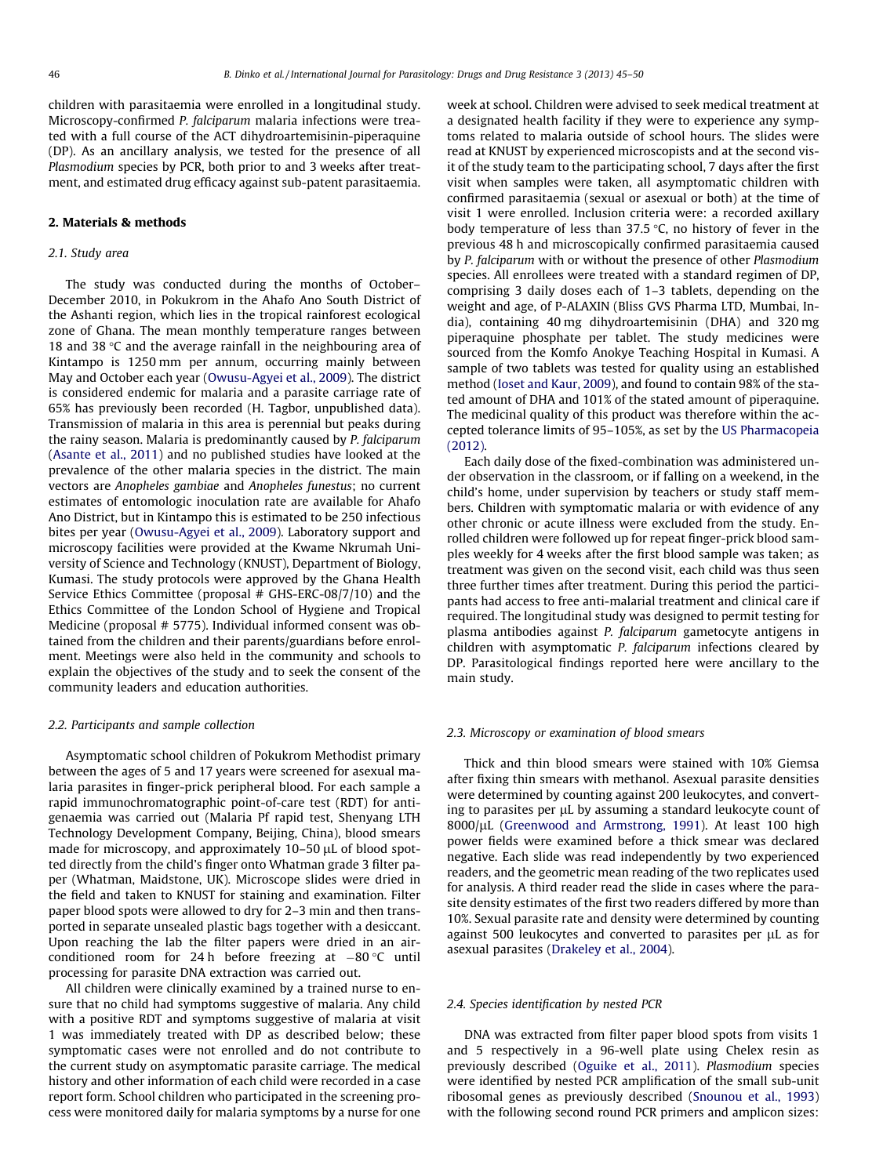children with parasitaemia were enrolled in a longitudinal study. Microscopy-confirmed P. falciparum malaria infections were treated with a full course of the ACT dihydroartemisinin-piperaquine (DP). As an ancillary analysis, we tested for the presence of all Plasmodium species by PCR, both prior to and 3 weeks after treatment, and estimated drug efficacy against sub-patent parasitaemia.

#### 2. Materials & methods

#### 2.1. Study area

The study was conducted during the months of October– December 2010, in Pokukrom in the Ahafo Ano South District of the Ashanti region, which lies in the tropical rainforest ecological zone of Ghana. The mean monthly temperature ranges between 18 and 38  $\degree$ C and the average rainfall in the neighbouring area of Kintampo is 1250 mm per annum, occurring mainly between May and October each year [\(Owusu-Agyei et al., 2009](#page-5-0)). The district is considered endemic for malaria and a parasite carriage rate of 65% has previously been recorded (H. Tagbor, unpublished data). Transmission of malaria in this area is perennial but peaks during the rainy season. Malaria is predominantly caused by P. falciparum ([Asante et al., 2011\)](#page-5-0) and no published studies have looked at the prevalence of the other malaria species in the district. The main vectors are Anopheles gambiae and Anopheles funestus; no current estimates of entomologic inoculation rate are available for Ahafo Ano District, but in Kintampo this is estimated to be 250 infectious bites per year ([Owusu-Agyei et al., 2009\)](#page-5-0). Laboratory support and microscopy facilities were provided at the Kwame Nkrumah University of Science and Technology (KNUST), Department of Biology, Kumasi. The study protocols were approved by the Ghana Health Service Ethics Committee (proposal # GHS-ERC-08/7/10) and the Ethics Committee of the London School of Hygiene and Tropical Medicine (proposal # 5775). Individual informed consent was obtained from the children and their parents/guardians before enrolment. Meetings were also held in the community and schools to explain the objectives of the study and to seek the consent of the community leaders and education authorities.

#### 2.2. Participants and sample collection

Asymptomatic school children of Pokukrom Methodist primary between the ages of 5 and 17 years were screened for asexual malaria parasites in finger-prick peripheral blood. For each sample a rapid immunochromatographic point-of-care test (RDT) for antigenaemia was carried out (Malaria Pf rapid test, Shenyang LTH Technology Development Company, Beijing, China), blood smears made for microscopy, and approximately  $10-50 \mu L$  of blood spotted directly from the child's finger onto Whatman grade 3 filter paper (Whatman, Maidstone, UK). Microscope slides were dried in the field and taken to KNUST for staining and examination. Filter paper blood spots were allowed to dry for 2–3 min and then transported in separate unsealed plastic bags together with a desiccant. Upon reaching the lab the filter papers were dried in an airconditioned room for 24 h before freezing at -80 C until processing for parasite DNA extraction was carried out.

All children were clinically examined by a trained nurse to ensure that no child had symptoms suggestive of malaria. Any child with a positive RDT and symptoms suggestive of malaria at visit 1 was immediately treated with DP as described below; these symptomatic cases were not enrolled and do not contribute to the current study on asymptomatic parasite carriage. The medical history and other information of each child were recorded in a case report form. School children who participated in the screening process were monitored daily for malaria symptoms by a nurse for one week at school. Children were advised to seek medical treatment at a designated health facility if they were to experience any symptoms related to malaria outside of school hours. The slides were read at KNUST by experienced microscopists and at the second visit of the study team to the participating school, 7 days after the first visit when samples were taken, all asymptomatic children with confirmed parasitaemia (sexual or asexual or both) at the time of visit 1 were enrolled. Inclusion criteria were: a recorded axillary body temperature of less than  $37.5$  °C, no history of fever in the previous 48 h and microscopically confirmed parasitaemia caused by P. falciparum with or without the presence of other Plasmodium species. All enrollees were treated with a standard regimen of DP, comprising 3 daily doses each of 1–3 tablets, depending on the weight and age, of P-ALAXIN (Bliss GVS Pharma LTD, Mumbai, India), containing 40 mg dihydroartemisinin (DHA) and 320 mg piperaquine phosphate per tablet. The study medicines were sourced from the Komfo Anokye Teaching Hospital in Kumasi. A sample of two tablets was tested for quality using an established method ([Ioset and Kaur, 2009](#page-5-0)), and found to contain 98% of the stated amount of DHA and 101% of the stated amount of piperaquine. The medicinal quality of this product was therefore within the accepted tolerance limits of 95–105%, as set by the [US Pharmacopeia](#page-5-0) [\(2012\).](#page-5-0)

Each daily dose of the fixed-combination was administered under observation in the classroom, or if falling on a weekend, in the child's home, under supervision by teachers or study staff members. Children with symptomatic malaria or with evidence of any other chronic or acute illness were excluded from the study. Enrolled children were followed up for repeat finger-prick blood samples weekly for 4 weeks after the first blood sample was taken; as treatment was given on the second visit, each child was thus seen three further times after treatment. During this period the participants had access to free anti-malarial treatment and clinical care if required. The longitudinal study was designed to permit testing for plasma antibodies against P. falciparum gametocyte antigens in children with asymptomatic P. falciparum infections cleared by DP. Parasitological findings reported here were ancillary to the main study.

#### 2.3. Microscopy or examination of blood smears

Thick and thin blood smears were stained with 10% Giemsa after fixing thin smears with methanol. Asexual parasite densities were determined by counting against 200 leukocytes, and converting to parasites per µL by assuming a standard leukocyte count of  $8000/\mu$ L [\(Greenwood and Armstrong, 1991\)](#page-5-0). At least 100 high power fields were examined before a thick smear was declared negative. Each slide was read independently by two experienced readers, and the geometric mean reading of the two replicates used for analysis. A third reader read the slide in cases where the parasite density estimates of the first two readers differed by more than 10%. Sexual parasite rate and density were determined by counting against 500 leukocytes and converted to parasites per µL as for asexual parasites [\(Drakeley et al., 2004](#page-5-0)).

#### 2.4. Species identification by nested PCR

DNA was extracted from filter paper blood spots from visits 1 and 5 respectively in a 96-well plate using Chelex resin as previously described ([Oguike et al., 2011](#page-5-0)). Plasmodium species were identified by nested PCR amplification of the small sub-unit ribosomal genes as previously described ([Snounou et al., 1993\)](#page-5-0) with the following second round PCR primers and amplicon sizes: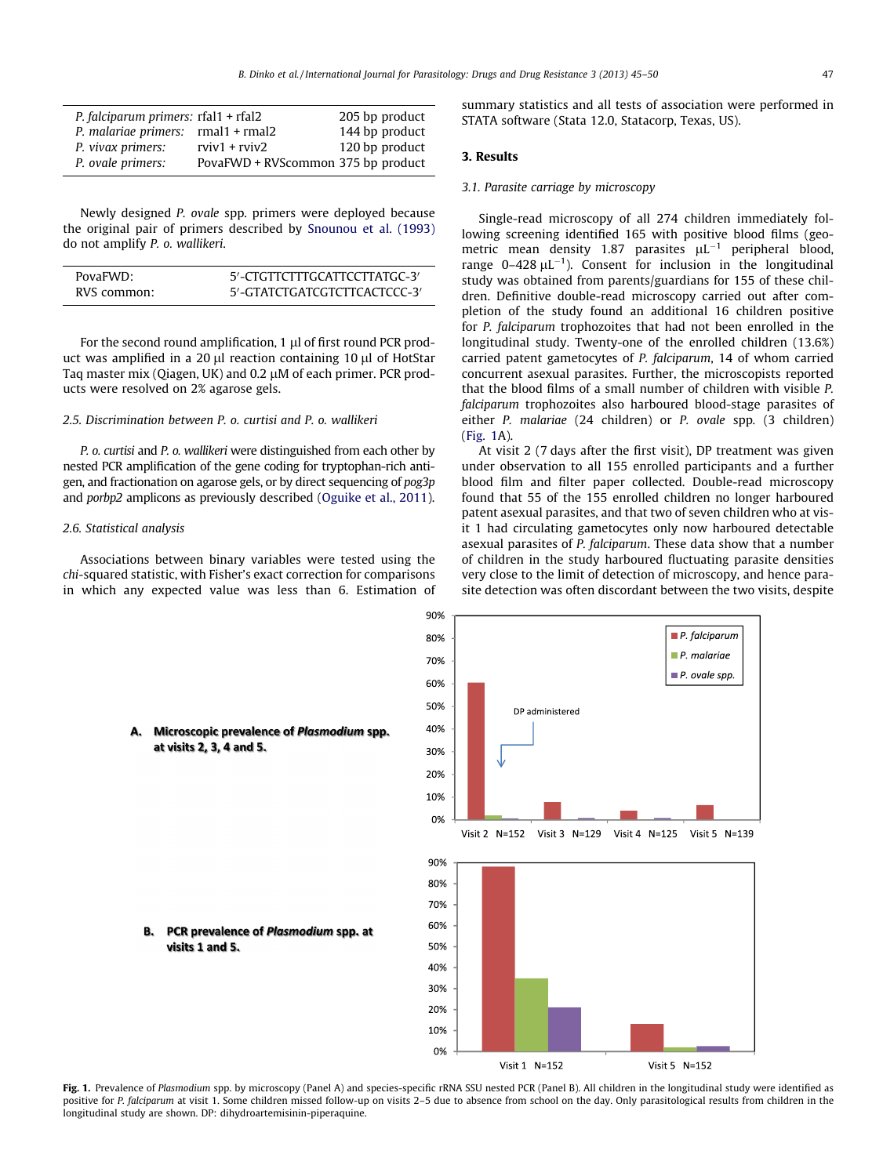<span id="page-2-0"></span>

| P. falciparum primers: $rfall + rfall$ |                                    | 205 bp product |
|----------------------------------------|------------------------------------|----------------|
| P. malariae primers: $rmal1 + rmal2$   |                                    | 144 bp product |
| P. vivax primers:                      | $rviv1 + rviv2$                    | 120 bp product |
| P. ovale primers:                      | PovaFWD + RVScommon 375 bp product |                |

Newly designed P. ovale spp. primers were deployed because the original pair of primers described by [Snounou et al. \(1993\)](#page-5-0) do not amplify P. o. wallikeri.

| PovaFWD:    | 5'-CTGTTCTTTGCATTCCTTATGC-3' |
|-------------|------------------------------|
| RVS common: | 5'-GTATCTGATCGTCTTCACTCCC-3' |

For the second round amplification,  $1 \mu$  of first round PCR product was amplified in a 20  $\mu$ l reaction containing 10  $\mu$ l of HotStar Taq master mix (Qiagen, UK) and 0.2 µM of each primer. PCR products were resolved on 2% agarose gels.

#### 2.5. Discrimination between P. o. curtisi and P. o. wallikeri

P. o. curtisi and P. o. wallikeri were distinguished from each other by nested PCR amplification of the gene coding for tryptophan-rich antigen, and fractionation on agarose gels, or by direct sequencing of pog3p and porbp2 amplicons as previously described [\(Oguike et al., 2011\)](#page-5-0).

#### 2.6. Statistical analysis

Associations between binary variables were tested using the chi-squared statistic, with Fisher's exact correction for comparisons in which any expected value was less than 6. Estimation of summary statistics and all tests of association were performed in STATA software (Stata 12.0, Statacorp, Texas, US).

### 3. Results

#### 3.1. Parasite carriage by microscopy

Single-read microscopy of all 274 children immediately following screening identified 165 with positive blood films (geometric mean density 1.87 parasites  $\mu$ L<sup>-1</sup> peripheral blood, range  $0-428 \mu L^{-1}$ ). Consent for inclusion in the longitudinal study was obtained from parents/guardians for 155 of these children. Definitive double-read microscopy carried out after completion of the study found an additional 16 children positive for P. falciparum trophozoites that had not been enrolled in the longitudinal study. Twenty-one of the enrolled children (13.6%) carried patent gametocytes of P. falciparum, 14 of whom carried concurrent asexual parasites. Further, the microscopists reported that the blood films of a small number of children with visible P. falciparum trophozoites also harboured blood-stage parasites of either P. malariae (24 children) or P. ovale spp. (3 children) (Fig. 1A).

At visit 2 (7 days after the first visit), DP treatment was given under observation to all 155 enrolled participants and a further blood film and filter paper collected. Double-read microscopy found that 55 of the 155 enrolled children no longer harboured patent asexual parasites, and that two of seven children who at visit 1 had circulating gametocytes only now harboured detectable asexual parasites of P. falciparum. These data show that a number of children in the study harboured fluctuating parasite densities very close to the limit of detection of microscopy, and hence parasite detection was often discordant between the two visits, despite



Fig. 1. Prevalence of Plasmodium spp. by microscopy (Panel A) and species-specific rRNA SSU nested PCR (Panel B). All children in the longitudinal study were identified as positive for P. falciparum at visit 1. Some children missed follow-up on visits 2-5 due to absence from school on the day. Only parasitological results from children in the longitudinal study are shown. DP: dihydroartemisinin-piperaquine.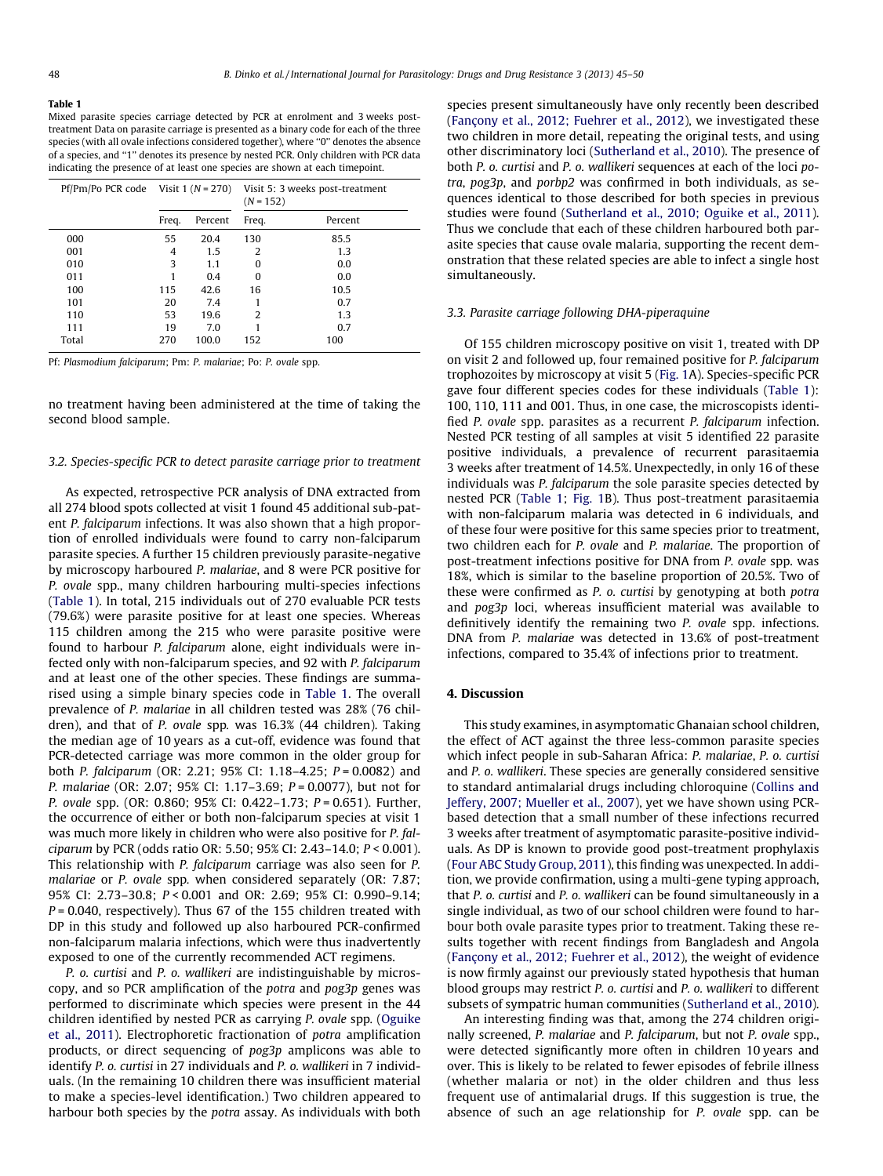#### Table 1

Mixed parasite species carriage detected by PCR at enrolment and 3 weeks posttreatment Data on parasite carriage is presented as a binary code for each of the three species (with all ovale infections considered together), where ''0'' denotes the absence of a species, and ''1'' denotes its presence by nested PCR. Only children with PCR data indicating the presence of at least one species are shown at each timepoint.

| $Pf/Pm/Po$ PCR code Visit 1 ( $N = 270$ ) |       |         | Visit 5: 3 weeks post-treatment<br>$(N = 152)$ |         |
|-------------------------------------------|-------|---------|------------------------------------------------|---------|
|                                           | Freq. | Percent | Freq.                                          | Percent |
| 000                                       | 55    | 20.4    | 130                                            | 85.5    |
| 001                                       | 4     | 1.5     | 2                                              | 1.3     |
| 010                                       | 3     | 1.1     | 0                                              | 0.0     |
| 011                                       |       | 0.4     | 0                                              | 0.0     |
| 100                                       | 115   | 42.6    | 16                                             | 10.5    |
| 101                                       | 20    | 7.4     | 1                                              | 0.7     |
| 110                                       | 53    | 19.6    | 2                                              | 1.3     |
| 111                                       | 19    | 7.0     |                                                | 0.7     |
| Total                                     | 270   | 100.0   | 152                                            | 100     |

Pf: Plasmodium falciparum; Pm: P. malariae; Po: P. ovale spp.

no treatment having been administered at the time of taking the second blood sample.

#### 3.2. Species-specific PCR to detect parasite carriage prior to treatment

As expected, retrospective PCR analysis of DNA extracted from all 274 blood spots collected at visit 1 found 45 additional sub-patent P. falciparum infections. It was also shown that a high proportion of enrolled individuals were found to carry non-falciparum parasite species. A further 15 children previously parasite-negative by microscopy harboured P. malariae, and 8 were PCR positive for P. ovale spp., many children harbouring multi-species infections (Table 1). In total, 215 individuals out of 270 evaluable PCR tests (79.6%) were parasite positive for at least one species. Whereas 115 children among the 215 who were parasite positive were found to harbour P. falciparum alone, eight individuals were infected only with non-falciparum species, and 92 with P. falciparum and at least one of the other species. These findings are summarised using a simple binary species code in Table 1. The overall prevalence of P. malariae in all children tested was 28% (76 children), and that of P. ovale spp. was 16.3% (44 children). Taking the median age of 10 years as a cut-off, evidence was found that PCR-detected carriage was more common in the older group for both P. falciparum (OR: 2.21; 95% CI: 1.18–4.25; P = 0.0082) and P. malariae (OR: 2.07; 95% CI: 1.17–3.69; P = 0.0077), but not for P. ovale spp. (OR: 0.860; 95% CI: 0.422–1.73; P = 0.651). Further, the occurrence of either or both non-falciparum species at visit 1 was much more likely in children who were also positive for P. falciparum by PCR (odds ratio OR: 5.50; 95% CI: 2.43–14.0; P < 0.001). This relationship with P. falciparum carriage was also seen for P. malariae or P. ovale spp. when considered separately (OR: 7.87; 95% CI: 2.73–30.8; P < 0.001 and OR: 2.69; 95% CI: 0.990–9.14;  $P = 0.040$ , respectively). Thus 67 of the 155 children treated with DP in this study and followed up also harboured PCR-confirmed non-falciparum malaria infections, which were thus inadvertently exposed to one of the currently recommended ACT regimens.

P. o. curtisi and P. o. wallikeri are indistinguishable by microscopy, and so PCR amplification of the potra and pog3p genes was performed to discriminate which species were present in the 44 children identified by nested PCR as carrying P. ovale spp. [\(Oguike](#page-5-0) [et al., 2011](#page-5-0)). Electrophoretic fractionation of potra amplification products, or direct sequencing of pog3p amplicons was able to identify P. o. curtisi in 27 individuals and P. o. wallikeri in 7 individuals. (In the remaining 10 children there was insufficient material to make a species-level identification.) Two children appeared to harbour both species by the potra assay. As individuals with both species present simultaneously have only recently been described ([Fançony et al., 2012; Fuehrer et al., 2012\)](#page-5-0), we investigated these two children in more detail, repeating the original tests, and using other discriminatory loci ([Sutherland et al., 2010](#page-5-0)). The presence of both P. o. curtisi and P. o. wallikeri sequences at each of the loci potra, pog3p, and porbp2 was confirmed in both individuals, as sequences identical to those described for both species in previous studies were found ([Sutherland et al., 2010; Oguike et al., 2011\)](#page-5-0). Thus we conclude that each of these children harboured both parasite species that cause ovale malaria, supporting the recent demonstration that these related species are able to infect a single host simultaneously.

#### 3.3. Parasite carriage following DHA-piperaquine

Of 155 children microscopy positive on visit 1, treated with DP on visit 2 and followed up, four remained positive for P. falciparum trophozoites by microscopy at visit 5 [\(Fig. 1A](#page-2-0)). Species-specific PCR gave four different species codes for these individuals (Table 1): 100, 110, 111 and 001. Thus, in one case, the microscopists identified P. ovale spp. parasites as a recurrent P. falciparum infection. Nested PCR testing of all samples at visit 5 identified 22 parasite positive individuals, a prevalence of recurrent parasitaemia 3 weeks after treatment of 14.5%. Unexpectedly, in only 16 of these individuals was P. falciparum the sole parasite species detected by nested PCR (Table 1; [Fig. 1](#page-2-0)B). Thus post-treatment parasitaemia with non-falciparum malaria was detected in 6 individuals, and of these four were positive for this same species prior to treatment, two children each for P. ovale and P. malariae. The proportion of post-treatment infections positive for DNA from P. ovale spp. was 18%, which is similar to the baseline proportion of 20.5%. Two of these were confirmed as P. o. curtisi by genotyping at both potra and pog3p loci, whereas insufficient material was available to definitively identify the remaining two P. ovale spp. infections. DNA from P. malariae was detected in 13.6% of post-treatment infections, compared to 35.4% of infections prior to treatment.

#### 4. Discussion

This study examines, in asymptomatic Ghanaian school children, the effect of ACT against the three less-common parasite species which infect people in sub-Saharan Africa: P. malariae, P. o. curtisi and P. o. wallikeri. These species are generally considered sensitive to standard antimalarial drugs including chloroquine [\(Collins and](#page-5-0) [Jeffery, 2007; Mueller et al., 2007](#page-5-0)), yet we have shown using PCRbased detection that a small number of these infections recurred 3 weeks after treatment of asymptomatic parasite-positive individuals. As DP is known to provide good post-treatment prophylaxis ([Four ABC Study Group, 2011](#page-5-0)), this finding was unexpected. In addition, we provide confirmation, using a multi-gene typing approach, that P. o. curtisi and P. o. wallikeri can be found simultaneously in a single individual, as two of our school children were found to harbour both ovale parasite types prior to treatment. Taking these results together with recent findings from Bangladesh and Angola ([Fançony et al., 2012; Fuehrer et al., 2012](#page-5-0)), the weight of evidence is now firmly against our previously stated hypothesis that human blood groups may restrict P. o. curtisi and P. o. wallikeri to different subsets of sympatric human communities ([Sutherland et al., 2010\)](#page-5-0).

An interesting finding was that, among the 274 children originally screened, P. malariae and P. falciparum, but not P. ovale spp., were detected significantly more often in children 10 years and over. This is likely to be related to fewer episodes of febrile illness (whether malaria or not) in the older children and thus less frequent use of antimalarial drugs. If this suggestion is true, the absence of such an age relationship for P. ovale spp. can be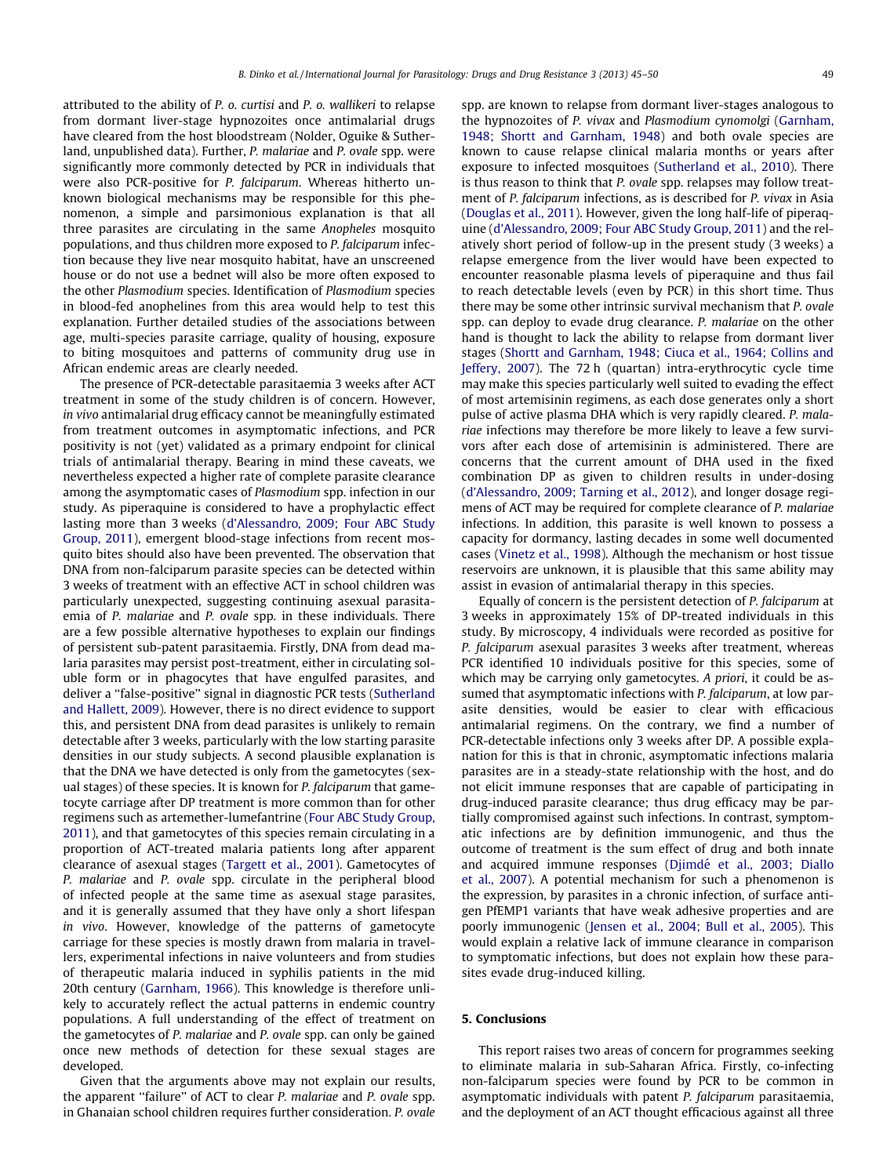attributed to the ability of P. o. curtisi and P. o. wallikeri to relapse from dormant liver-stage hypnozoites once antimalarial drugs have cleared from the host bloodstream (Nolder, Oguike & Sutherland, unpublished data). Further, P. malariae and P. ovale spp. were significantly more commonly detected by PCR in individuals that were also PCR-positive for P. falciparum. Whereas hitherto unknown biological mechanisms may be responsible for this phenomenon, a simple and parsimonious explanation is that all three parasites are circulating in the same Anopheles mosquito populations, and thus children more exposed to P. falciparum infection because they live near mosquito habitat, have an unscreened house or do not use a bednet will also be more often exposed to the other Plasmodium species. Identification of Plasmodium species in blood-fed anophelines from this area would help to test this explanation. Further detailed studies of the associations between age, multi-species parasite carriage, quality of housing, exposure to biting mosquitoes and patterns of community drug use in African endemic areas are clearly needed.

The presence of PCR-detectable parasitaemia 3 weeks after ACT treatment in some of the study children is of concern. However, in vivo antimalarial drug efficacy cannot be meaningfully estimated from treatment outcomes in asymptomatic infections, and PCR positivity is not (yet) validated as a primary endpoint for clinical trials of antimalarial therapy. Bearing in mind these caveats, we nevertheless expected a higher rate of complete parasite clearance among the asymptomatic cases of Plasmodium spp. infection in our study. As piperaquine is considered to have a prophylactic effect lasting more than 3 weeks [\(d'Alessandro, 2009; Four ABC Study](#page-5-0) [Group, 2011](#page-5-0)), emergent blood-stage infections from recent mosquito bites should also have been prevented. The observation that DNA from non-falciparum parasite species can be detected within 3 weeks of treatment with an effective ACT in school children was particularly unexpected, suggesting continuing asexual parasitaemia of P. malariae and P. ovale spp. in these individuals. There are a few possible alternative hypotheses to explain our findings of persistent sub-patent parasitaemia. Firstly, DNA from dead malaria parasites may persist post-treatment, either in circulating soluble form or in phagocytes that have engulfed parasites, and deliver a ''false-positive'' signal in diagnostic PCR tests [\(Sutherland](#page-5-0) [and Hallett, 2009](#page-5-0)). However, there is no direct evidence to support this, and persistent DNA from dead parasites is unlikely to remain detectable after 3 weeks, particularly with the low starting parasite densities in our study subjects. A second plausible explanation is that the DNA we have detected is only from the gametocytes (sexual stages) of these species. It is known for P. falciparum that gametocyte carriage after DP treatment is more common than for other regimens such as artemether-lumefantrine [\(Four ABC Study Group,](#page-5-0) [2011\)](#page-5-0), and that gametocytes of this species remain circulating in a proportion of ACT-treated malaria patients long after apparent clearance of asexual stages ([Targett et al., 2001](#page-5-0)). Gametocytes of P. malariae and P. ovale spp. circulate in the peripheral blood of infected people at the same time as asexual stage parasites, and it is generally assumed that they have only a short lifespan in vivo. However, knowledge of the patterns of gametocyte carriage for these species is mostly drawn from malaria in travellers, experimental infections in naive volunteers and from studies of therapeutic malaria induced in syphilis patients in the mid 20th century [\(Garnham, 1966](#page-5-0)). This knowledge is therefore unlikely to accurately reflect the actual patterns in endemic country populations. A full understanding of the effect of treatment on the gametocytes of P. malariae and P. ovale spp. can only be gained once new methods of detection for these sexual stages are developed.

Given that the arguments above may not explain our results, the apparent "failure" of ACT to clear P. malariae and P. ovale spp. in Ghanaian school children requires further consideration. P. ovale

spp. are known to relapse from dormant liver-stages analogous to the hypnozoites of P. vivax and Plasmodium cynomolgi ([Garnham,](#page-5-0) [1948; Shortt and Garnham, 1948\)](#page-5-0) and both ovale species are known to cause relapse clinical malaria months or years after exposure to infected mosquitoes [\(Sutherland et al., 2010\)](#page-5-0). There is thus reason to think that P. ovale spp. relapses may follow treatment of P. falciparum infections, as is described for P. vivax in Asia ([Douglas et al., 2011](#page-5-0)). However, given the long half-life of piperaquine [\(d'Alessandro, 2009; Four ABC Study Group, 2011](#page-5-0)) and the relatively short period of follow-up in the present study (3 weeks) a relapse emergence from the liver would have been expected to encounter reasonable plasma levels of piperaquine and thus fail to reach detectable levels (even by PCR) in this short time. Thus there may be some other intrinsic survival mechanism that P. ovale spp. can deploy to evade drug clearance. P. malariae on the other hand is thought to lack the ability to relapse from dormant liver stages ([Shortt and Garnham, 1948; Ciuca et al., 1964; Collins and](#page-5-0) [Jeffery, 2007](#page-5-0)). The 72 h (quartan) intra-erythrocytic cycle time may make this species particularly well suited to evading the effect of most artemisinin regimens, as each dose generates only a short pulse of active plasma DHA which is very rapidly cleared. P. malariae infections may therefore be more likely to leave a few survivors after each dose of artemisinin is administered. There are concerns that the current amount of DHA used in the fixed combination DP as given to children results in under-dosing ([d'Alessandro, 2009; Tarning et al., 2012](#page-5-0)), and longer dosage regimens of ACT may be required for complete clearance of P. malariae infections. In addition, this parasite is well known to possess a capacity for dormancy, lasting decades in some well documented cases ([Vinetz et al., 1998\)](#page-5-0). Although the mechanism or host tissue reservoirs are unknown, it is plausible that this same ability may assist in evasion of antimalarial therapy in this species.

Equally of concern is the persistent detection of P. falciparum at 3 weeks in approximately 15% of DP-treated individuals in this study. By microscopy, 4 individuals were recorded as positive for P. falciparum asexual parasites 3 weeks after treatment, whereas PCR identified 10 individuals positive for this species, some of which may be carrying only gametocytes. A priori, it could be assumed that asymptomatic infections with P. falciparum, at low parasite densities, would be easier to clear with efficacious antimalarial regimens. On the contrary, we find a number of PCR-detectable infections only 3 weeks after DP. A possible explanation for this is that in chronic, asymptomatic infections malaria parasites are in a steady-state relationship with the host, and do not elicit immune responses that are capable of participating in drug-induced parasite clearance; thus drug efficacy may be partially compromised against such infections. In contrast, symptomatic infections are by definition immunogenic, and thus the outcome of treatment is the sum effect of drug and both innate and acquired immune responses (Djimdé [et al., 2003; Diallo](#page-5-0) [et al., 2007\)](#page-5-0). A potential mechanism for such a phenomenon is the expression, by parasites in a chronic infection, of surface antigen PfEMP1 variants that have weak adhesive properties and are poorly immunogenic [\(Jensen et al., 2004; Bull et al., 2005](#page-5-0)). This would explain a relative lack of immune clearance in comparison to symptomatic infections, but does not explain how these parasites evade drug-induced killing.

#### 5. Conclusions

This report raises two areas of concern for programmes seeking to eliminate malaria in sub-Saharan Africa. Firstly, co-infecting non-falciparum species were found by PCR to be common in asymptomatic individuals with patent P. falciparum parasitaemia, and the deployment of an ACT thought efficacious against all three